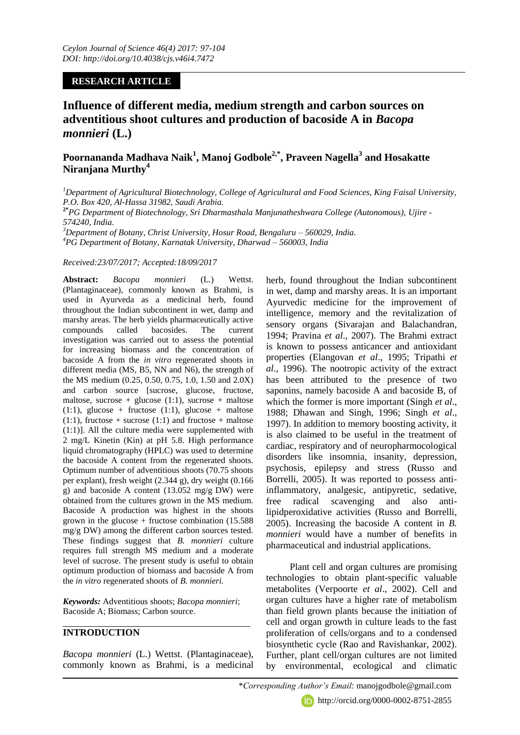## **RESEARCH ARTICLE**

**Influence of different media, medium strength and carbon sources on adventitious shoot cultures and production of bacoside A in** *Bacopa monnieri* **(L.)**

# **Poornananda Madhava Naik<sup>1</sup> , Manoj Godbole2,\* , Praveen Nagella<sup>3</sup> and Hosakatte Niranjana Murthy<sup>4</sup>**

*<sup>1</sup>Department of Agricultural Biotechnology, College of Agricultural and Food Sciences, King Faisal University, P.O. Box 420, Al-Hassa 31982, Saudi Arabia.*

**2\****PG Department of Biotechnology, Sri Dharmasthala Manjunatheshwara College (Autonomous), Ujire - 574240, India*.

*<sup>3</sup>Department of Botany, Christ University, Hosur Road, Bengaluru – 560029, India. 4 PG Department of Botany, Karnatak University, Dharwad – 560003, India* 

#### *Received:23/07/2017; Accepted:18/09/2017*

**Abstract:** *Bacopa monnieri* (L.) Wettst. (Plantaginaceae), commonly known as Brahmi, is used in Ayurveda as a medicinal herb, found throughout the Indian subcontinent in wet, damp and marshy areas. The herb yields pharmaceutically active compounds called bacosides. The current investigation was carried out to assess the potential for increasing biomass and the concentration of bacoside A from the *in vitro* regenerated shoots in different media (MS, B5, NN and N6), the strength of the MS medium (0.25, 0.50, 0.75, 1.0, 1.50 and 2.0X) and carbon source [sucrose, glucose, fructose, maltose, sucrose + glucose  $(1:1)$ , sucrose + maltose  $(1:1)$ , glucose + fructose  $(1:1)$ , glucose + maltose  $(1:1)$ , fructose + sucrose  $(1:1)$  and fructose + maltose (1:1)]. All the culture media were supplemented with 2 mg/L Kinetin (Kin) at pH 5.8. High performance liquid chromatography (HPLC) was used to determine the bacoside A content from the regenerated shoots. Optimum number of adventitious shoots (70.75 shoots per explant), fresh weight (2.344 g), dry weight (0.166 g) and bacoside A content (13.052 mg/g DW) were obtained from the cultures grown in the MS medium. Bacoside A production was highest in the shoots grown in the glucose + fructose combination  $(15.588)$ mg/g DW) among the different carbon sources tested. These findings suggest that *B. monnieri* culture requires full strength MS medium and a moderate level of sucrose. The present study is useful to obtain optimum production of biomass and bacoside A from the *in vitro* regenerated shoots of *B. monnieri.*

*Keywords:* Adventitious shoots; *Bacopa monnieri*; Bacoside A; Biomass; Carbon source.

### **INTRODUCTION**

*Bacopa monnieri* (L.) Wettst. (Plantaginaceae), commonly known as Brahmi, is a medicinal herb, found throughout the Indian subcontinent in wet, damp and marshy areas. It is an important Ayurvedic medicine for the improvement of intelligence, memory and the revitalization of sensory organs (Sivarajan and Balachandran, 1994; Pravina *et al*., 2007). The Brahmi extract is known to possess anticancer and antioxidant properties (Elangovan *et al*., 1995; Tripathi *et al.,* 1996). The nootropic activity of the extract has been attributed to the presence of two saponins, namely bacoside A and bacoside B, of which the former is more important (Singh *et al*., 1988; Dhawan and Singh, 1996; Singh *et al*., 1997). In addition to memory boosting activity, it is also claimed to be useful in the treatment of cardiac, respiratory and of neuropharmocological disorders like insomnia, insanity, depression, psychosis, epilepsy and stress (Russo and Borrelli, 2005). It was reported to possess antiinflammatory, analgesic, antipyretic, sedative, free radical scavenging and also antilipidperoxidative activities (Russo and Borrelli, 2005). Increasing the bacoside A content in *B. monnieri* would have a number of benefits in pharmaceutical and industrial applications.

Plant cell and organ cultures are promising technologies to obtain plant-specific valuable metabolites (Verpoorte *et al*., 2002). Cell and organ cultures have a higher rate of metabolism than field grown plants because the initiation of cell and organ growth in culture leads to the fast proliferation of cells/organs and to a condensed biosynthetic cycle (Rao and Ravishankar, 2002). Further, plant cell/organ cultures are not limited by environmental, ecological and climatic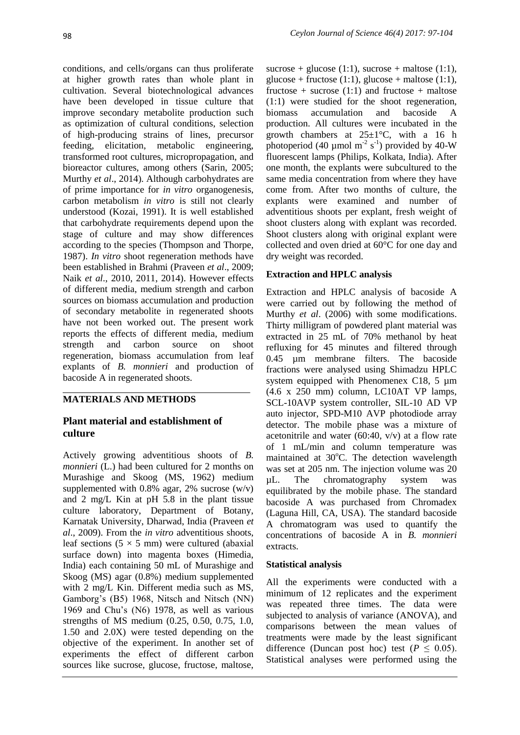conditions, and cells/organs can thus proliferate at higher growth rates than whole plant in cultivation. Several biotechnological advances have been developed in tissue culture that improve secondary metabolite production such as optimization of cultural conditions, selection of high-producing strains of lines, precursor feeding, elicitation, metabolic engineering, transformed root cultures, micropropagation, and bioreactor cultures, among others (Sarin, 2005; Murthy *et al*., 2014). Although carbohydrates are of prime importance for *in vitro* organogenesis, carbon metabolism *in vitro* is still not clearly understood (Kozai, 1991). It is well established that carbohydrate requirements depend upon the stage of culture and may show differences according to the species (Thompson and Thorpe, 1987). *In vitro* shoot regeneration methods have been established in Brahmi (Praveen *et al*., 2009; Naik *et al*., 2010, 2011, 2014). However effects of different media, medium strength and carbon sources on biomass accumulation and production of secondary metabolite in regenerated shoots have not been worked out. The present work reports the effects of different media, medium strength and carbon source on shoot regeneration, biomass accumulation from leaf explants of *B. monnieri* and production of bacoside A in regenerated shoots.

## **MATERIALS AND METHODS**

## **Plant material and establishment of culture**

Actively growing adventitious shoots of *B. monnieri* (L.) had been cultured for 2 months on Murashige and Skoog (MS, 1962) medium supplemented with 0.8% agar, 2% sucrose  $(w/v)$ and 2 mg/L Kin at pH 5.8 in the plant tissue culture laboratory, Department of Botany, Karnatak University, Dharwad, India (Praveen *et al*., 2009). From the *in vitro* adventitious shoots, leaf sections  $(5 \times 5 \text{ mm})$  were cultured (abaxial) surface down) into magenta boxes (Himedia, India) each containing 50 mL of Murashige and Skoog (MS) agar (0.8%) medium supplemented with 2 mg/L Kin. Different media such as MS, Gamborg's (B5) 1968, Nitsch and Nitsch (NN) 1969 and Chu's (N6) 1978, as well as various strengths of MS medium (0.25, 0.50, 0.75, 1.0, 1.50 and 2.0X) were tested depending on the objective of the experiment. In another set of experiments the effect of different carbon sources like sucrose, glucose, fructose, maltose,

sucrose + glucose (1:1), sucrose + maltose (1:1), glucose + fructose (1:1), glucose + maltose (1:1), fructose + sucrose  $(1:1)$  and fructose + maltose (1:1) were studied for the shoot regeneration, biomass accumulation and bacoside A production. All cultures were incubated in the growth chambers at  $25 \pm 1$ °C, with a 16 h photoperiod (40  $\mu$ mol m<sup>-2</sup> s<sup>-1</sup>) provided by 40-W fluorescent lamps (Philips, Kolkata, India). After one month, the explants were subcultured to the same media concentration from where they have come from. After two months of culture, the explants were examined and number of adventitious shoots per explant, fresh weight of shoot clusters along with explant was recorded. Shoot clusters along with original explant were collected and oven dried at 60°C for one day and dry weight was recorded.

## **Extraction and HPLC analysis**

Extraction and HPLC analysis of bacoside A were carried out by following the method of Murthy *et al*. (2006) with some modifications. Thirty milligram of powdered plant material was extracted in 25 mL of 70% methanol by heat refluxing for 45 minutes and filtered through 0.45 µm membrane filters. The bacoside fractions were analysed using Shimadzu HPLC system equipped with Phenomenex C18, 5  $\mu$ m (4.6 x 250 mm) column, LC10AT VP lamps, SCL-10AVP system controller, SIL-10 AD VP auto injector, SPD-M10 AVP photodiode array detector. The mobile phase was a mixture of acetonitrile and water  $(60:40, v/v)$  at a flow rate of 1 mL/min and column temperature was maintained at  $30^{\circ}$ C. The detection wavelength was set at 205 nm. The injection volume was 20 µL. The chromatography system was equilibrated by the mobile phase. The standard bacoside A was purchased from Chromadex (Laguna Hill, CA, USA). The standard bacoside A chromatogram was used to quantify the concentrations of bacoside A in *B. monnieri* extracts.

### **Statistical analysis**

All the experiments were conducted with a minimum of 12 replicates and the experiment was repeated three times. The data were subjected to analysis of variance (ANOVA), and comparisons between the mean values of treatments were made by the least significant difference (Duncan post hoc) test ( $P \leq 0.05$ ). Statistical analyses were performed using the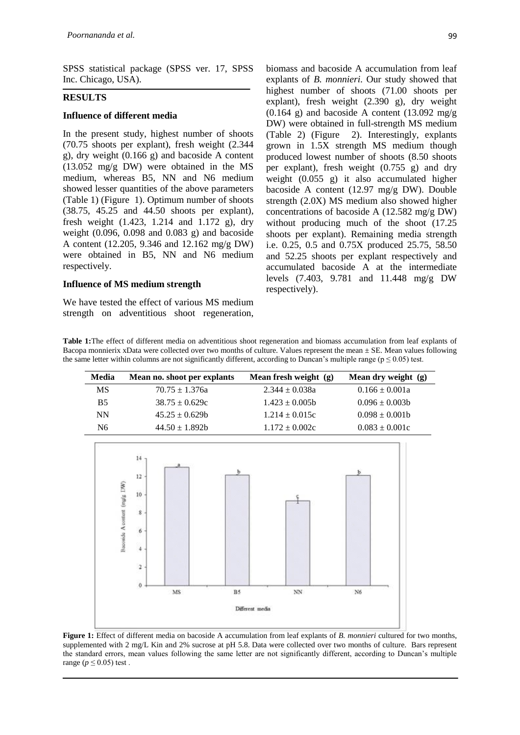SPSS statistical package (SPSS ver. 17, SPSS Inc. Chicago, USA).

#### **RESULTS**

#### **Influence of different media**

In the present study, highest number of shoots (70.75 shoots per explant), fresh weight (2.344 g), dry weight (0.166 g) and bacoside A content (13.052 mg/g DW) were obtained in the MS medium, whereas B5, NN and N6 medium showed lesser quantities of the above parameters (Table 1) (Figure 1). Optimum number of shoots (38.75, 45.25 and 44.50 shoots per explant), fresh weight (1.423, 1.214 and 1.172 g), dry weight (0.096, 0.098 and 0.083 g) and bacoside A content (12.205, 9.346 and 12.162 mg/g DW) were obtained in B5, NN and N6 medium respectively.

#### **Influence of MS medium strength**

We have tested the effect of various MS medium strength on adventitious shoot regeneration, biomass and bacoside A accumulation from leaf explants of *B. monnieri*. Our study showed that highest number of shoots (71.00 shoots per explant), fresh weight (2.390 g), dry weight  $(0.164 \text{ g})$  and bacoside A content  $(13.092 \text{ mg/g})$ DW) were obtained in full-strength MS medium (Table 2) (Figure 2). Interestingly, explants grown in 1.5X strength MS medium though produced lowest number of shoots (8.50 shoots per explant), fresh weight (0.755 g) and dry weight (0.055 g) it also accumulated higher bacoside A content (12.97 mg/g DW). Double strength (2.0X) MS medium also showed higher concentrations of bacoside A (12.582 mg/g DW) without producing much of the shoot  $(17.25)$ shoots per explant). Remaining media strength i.e. 0.25, 0.5 and 0.75X produced 25.75, 58.50 and 52.25 shoots per explant respectively and accumulated bacoside A at the intermediate levels (7.403, 9.781 and 11.448 mg/g DW respectively).

**Table 1:**The effect of different media on adventitious shoot regeneration and biomass accumulation from leaf explants of Bacopa monnierix xData were collected over two months of culture. Values represent the mean ± SE. Mean values following the same letter within columns are not significantly different, according to Duncan's multiple range ( $p \le 0.05$ ) test.

| Media     | Mean no. shoot per explants | Mean fresh weight (g) | Mean dry weight (g) |
|-----------|-----------------------------|-----------------------|---------------------|
| MS        | $70.75 \pm 1.376a$          | $2.344 \pm 0.038a$    | $0.166 \pm 0.001a$  |
| <b>B5</b> | $38.75 \pm 0.629c$          | $1.423 \pm 0.005b$    | $0.096 \pm 0.003b$  |
| <b>NN</b> | $45.25 \pm 0.629b$          | $1.214 \pm 0.015c$    | $0.098 \pm 0.001b$  |
| N6        | $44.50 \pm 1.892b$          | $1.172 \pm 0.002c$    | $0.083 \pm 0.001c$  |



**Figure 1:** Effect of different media on bacoside A accumulation from leaf explants of *B. monnieri* cultured for two months, supplemented with 2 mg/L Kin and 2% sucrose at pH 5.8. Data were collected over two months of culture. Bars represent the standard errors, mean values following the same letter are not significantly different, according to Duncan's multiple range ( $p \leq 0.05$ ) test.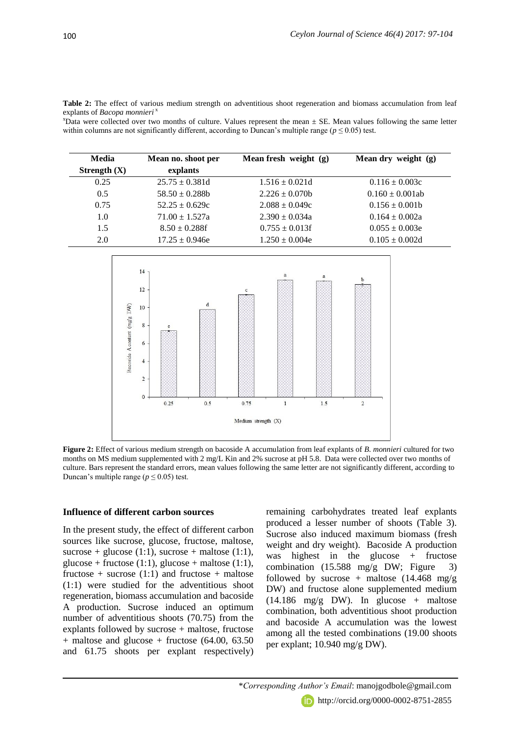**Table 2:** The effect of various medium strength on adventitious shoot regeneration and biomass accumulation from leaf explants of *Bacopa monnieri*<sup>3</sup>

 $x<sup>x</sup>$ Data were collected over two months of culture. Values represent the mean  $\pm$  SE. Mean values following the same letter within columns are not significantly different, according to Duncan's multiple range ( $p \le 0.05$ ) test.

| Media          | Mean no. shoot per  | Mean fresh weight (g) | Mean dry weight (g)  |
|----------------|---------------------|-----------------------|----------------------|
| Strength $(X)$ | explants            |                       |                      |
| 0.25           | $25.75 \pm 0.381d$  | $1.516 \pm 0.021d$    | $0.116 \pm 0.003c$   |
| 0.5            | $58.50 \pm 0.288$ h | $2.226 \pm 0.070b$    | $0.160 \pm 0.001$ ab |
| 0.75           | $52.25 \pm 0.629c$  | $2.088 \pm 0.049c$    | $0.156 \pm 0.001b$   |
| 1.0            | $71.00 \pm 1.527a$  | $2.390 \pm 0.034a$    | $0.164 \pm 0.002a$   |
| 1.5            | $8.50 \pm 0.288$ f  | $0.755 \pm 0.013$ f   | $0.055 \pm 0.003e$   |
| 2.0            | $17.25 \pm 0.946e$  | $1.250 \pm 0.004e$    | $0.105 \pm 0.002d$   |



**Figure 2:** Effect of various medium strength on bacoside A accumulation from leaf explants of *B. monnieri* cultured for two months on MS medium supplemented with 2 mg/L Kin and 2% sucrose at pH 5.8. Data were collected over two months of culture. Bars represent the standard errors, mean values following the same letter are not significantly different, according to Duncan's multiple range ( $p \le 0.05$ ) test.

#### **Influence of different carbon sources**

In the present study, the effect of different carbon sources like sucrose, glucose, fructose, maltose, sucrose + glucose (1:1), sucrose + maltose (1:1),  $glucose + fructose (1:1), glucose + maltose (1:1),$ fructose + sucrose  $(1:1)$  and fructose + maltose (1:1) were studied for the adventitious shoot regeneration, biomass accumulation and bacoside A production. Sucrose induced an optimum number of adventitious shoots (70.75) from the explants followed by sucrose + maltose, fructose  $+$  maltose and glucose  $+$  fructose (64.00, 63.50) and 61.75 shoots per explant respectively) remaining carbohydrates treated leaf explants produced a lesser number of shoots (Table 3). Sucrose also induced maximum biomass (fresh weight and dry weight). Bacoside A production was highest in the glucose + fructose combination (15.588 mg/g DW; Figure 3) followed by sucrose + maltose  $(14.468 \text{ mg/g})$ DW) and fructose alone supplemented medium  $(14.186 \text{ mg/g DW})$ . In glucose + maltose combination, both adventitious shoot production and bacoside A accumulation was the lowest among all the tested combinations (19.00 shoots per explant; 10.940 mg/g DW).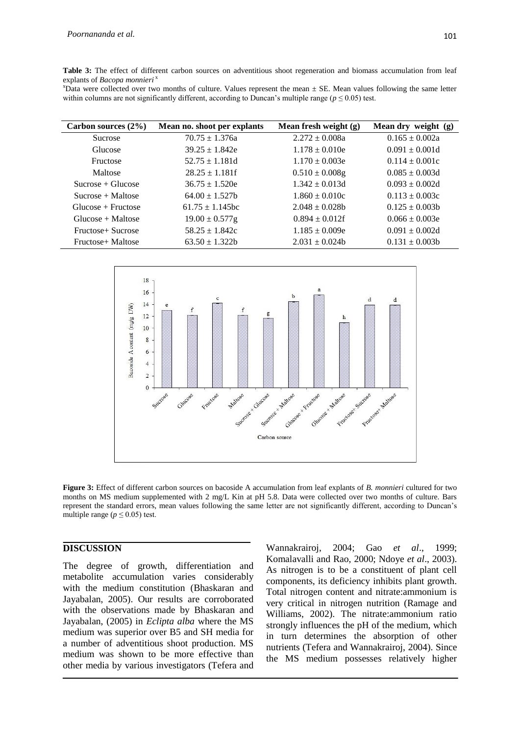**Table 3:** The effect of different carbon sources on adventitious shoot regeneration and biomass accumulation from leaf explants of *Bacopa monnieri* <sup>x</sup>

 $x$ Data were collected over two months of culture. Values represent the mean  $\pm$  SE. Mean values following the same letter within columns are not significantly different, according to Duncan's multiple range ( $p \le 0.05$ ) test.

| Carbon sources $(2\%)$ | Mean no. shoot per explants | Mean fresh weight (g) | Mean dry weight (g) |
|------------------------|-----------------------------|-----------------------|---------------------|
| <b>Sucrose</b>         | $70.75 \pm 1.376a$          | $2.272 \pm 0.008a$    | $0.165 \pm 0.002a$  |
| Glucose                | $39.25 \pm 1.842e$          | $1.178 \pm 0.010e$    | $0.091 \pm 0.001d$  |
| Fructose               | $52.75 \pm 1.181d$          | $1.170 \pm 0.003e$    | $0.114 \pm 0.001c$  |
| Maltose                | $28.25 \pm 1.181$ f         | $0.510 \pm 0.008$ g   | $0.085 \pm 0.003d$  |
| $Sucrose + Glucose$    | $36.75 \pm 1.520e$          | $1.342 \pm 0.013d$    | $0.093 \pm 0.002d$  |
| $Sucrose + Maltose$    | $64.00 \pm 1.527$           | $1.860 \pm 0.010c$    | $0.113 \pm 0.003c$  |
| $Glucose + Fructose$   | $61.75 \pm 1.145$ bc        | $2.048 \pm 0.028$     | $0.125 \pm 0.003b$  |
| $Glucose + Maltose$    | $19.00 \pm 0.577$ g         | $0.894 \pm 0.012$ f   | $0.066 \pm 0.003e$  |
| Fructose+ Sucrose      | $58.25 \pm 1.842c$          | $1.185 \pm 0.009e$    | $0.091 \pm 0.002d$  |
| Fructose+ Maltose      | $63.50 \pm 1.322$           | $2.031 \pm 0.024$     | $0.131 \pm 0.003b$  |



**Figure 3:** Effect of different carbon sources on bacoside A accumulation from leaf explants of *B. monnieri* cultured for two months on MS medium supplemented with 2 mg/L Kin at pH 5.8. Data were collected over two months of culture. Bars represent the standard errors, mean values following the same letter are not significantly different, according to Duncan's multiple range ( $p \le 0.05$ ) test.

### **DISCUSSION**

The degree of growth, differentiation and metabolite accumulation varies considerably with the medium constitution (Bhaskaran and Jayabalan, 2005). Our results are corroborated with the observations made by Bhaskaran and Jayabalan, (2005) in *Eclipta alba* where the MS medium was superior over B5 and SH media for a number of adventitious shoot production. MS medium was shown to be more effective than other media by various investigators (Tefera and

Wannakrairoj, 2004; Gao *et al*., 1999; Komalavalli and Rao, 2000; Ndoye *et al*., 2003). As nitrogen is to be a constituent of plant cell components, its deficiency inhibits plant growth. Total nitrogen content and nitrate:ammonium is very critical in nitrogen nutrition (Ramage and Williams, 2002). The nitrate:ammonium ratio strongly influences the pH of the medium, which in turn determines the absorption of other nutrients (Tefera and Wannakrairoj, 2004). Since the MS medium possesses relatively higher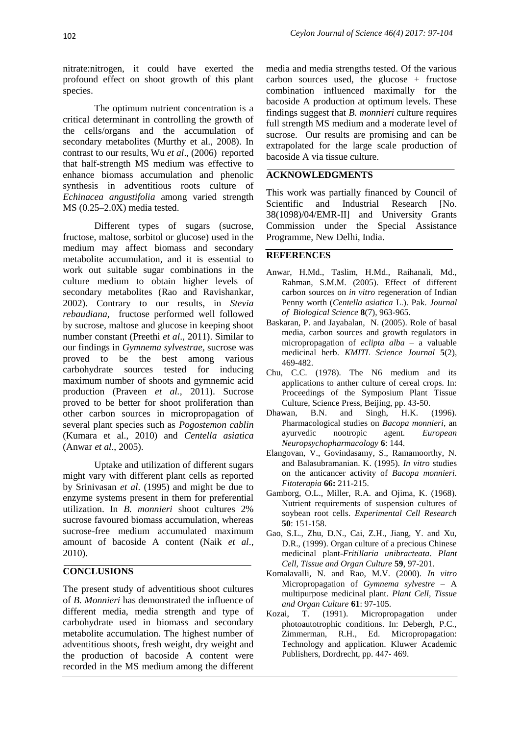nitrate:nitrogen, it could have exerted the profound effect on shoot growth of this plant species.

The optimum nutrient concentration is a critical determinant in controlling the growth of the cells/organs and the accumulation of secondary metabolites (Murthy et al., 2008). In contrast to our results, Wu *et al*., (2006) reported that half-strength MS medium was effective to enhance biomass accumulation and phenolic synthesis in adventitious roots culture of *Echinacea angustifolia* among varied strength MS (0.25–2.0X) media tested.

Different types of sugars (sucrose, fructose, maltose, sorbitol or glucose) used in the medium may affect biomass and secondary metabolite accumulation, and it is essential to work out suitable sugar combinations in the culture medium to obtain higher levels of secondary metabolites (Rao and Ravishankar, 2002). Contrary to our results, in *Stevia rebaudiana,* fructose performed well followed by sucrose, maltose and glucose in keeping shoot number constant (Preethi *et al*., 2011). Similar to our findings in *Gymnema sylvestrae,* sucrose was proved to be the best among various carbohydrate sources tested for inducing maximum number of shoots and gymnemic acid production (Praveen *et al.,* 2011). Sucrose proved to be better for shoot proliferation than other carbon sources in micropropagation of several plant species such as *Pogostemon cablin*  (Kumara et al., 2010) and *Centella asiatica*  (Anwar *et al*., 2005).

Uptake and utilization of different sugars might vary with different plant cells as reported by Srinivasan *et al*. (1995) and might be due to enzyme systems present in them for preferential utilization. In *B. monnieri* shoot cultures 2% sucrose favoured biomass accumulation, whereas sucrose-free medium accumulated maximum amount of bacoside A content (Naik *et al*., 2010).

### **CONCLUSIONS**

The present study of adventitious shoot cultures of *B. Monnieri* has demonstrated the influence of different media, media strength and type of carbohydrate used in biomass and secondary metabolite accumulation. The highest number of adventitious shoots, fresh weight, dry weight and the production of bacoside A content were recorded in the MS medium among the different

media and media strengths tested. Of the various carbon sources used, the glucose + fructose combination influenced maximally for the bacoside A production at optimum levels. These findings suggest that *B. monnieri* culture requires full strength MS medium and a moderate level of sucrose. Our results are promising and can be extrapolated for the large scale production of bacoside A via tissue culture.

### **ACKNOWLEDGMENTS**

This work was partially financed by Council of Scientific and Industrial Research [No. 38(1098)/04/EMR-II] and University Grants Commission under the Special Assistance Programme, New Delhi, India.

#### **REFERENCES**

- Anwar, H.Md., Taslim, H.Md., Raihanali, Md., Rahman, S.M.M. (2005). Effect of different carbon sources on *in vitro* regeneration of Indian Penny worth (*Centella asiatica* L.). Pak. *Journal of Biological Science* **8**(7), 963-965.
- Baskaran, P. and Jayabalan, N. (2005). Role of basal media, carbon sources and growth regulators in micropropagation of *eclipta alba* – a valuable medicinal herb. *KMITL Science Journal* **5**(2), 469-482.
- Chu, C.C. (1978). The N6 medium and its applications to anther culture of cereal crops. In: Proceedings of the Symposium Plant Tissue Culture, Science Press, Beijing, pp. 43-50.
- Dhawan, B.N. and Singh, H.K. (1996). Pharmacological studies on *Bacopa monnieri*, an ayurvedic nootropic agent. *European Neuropsychopharmacology* **6**: 144.
- Elangovan, V., Govindasamy, S., Ramamoorthy, N. and Balasubramanian. K. (1995). *In vitro* studies on the anticancer activity of *Bacopa monnieri*. *Fitoterapia* **66:** 211-215.
- Gamborg, O.L., Miller, R.A. and Ojima, K. (1968). Nutrient requirements of suspension cultures of soybean root cells. *Experimental Cell Research* **50**: 151-158.
- Gao, S.L., Zhu, D.N., Cai, Z.H., Jiang, Y. and Xu, D.R., (1999). Organ culture of a precious Chinese medicinal plant-*Fritillaria unibracteata*. *Plant Cell, Tissue and Organ Culture* **59**, 97-201.
- Komalavalli, N. and Rao, M.V. (2000). *In vitro*  Micropropagation of *Gymnema sylvestre* – A multipurpose medicinal plant. *Plant Cell, Tissue and Organ Culture* **61**: 97-105.
- Kozai, T. (1991). Micropropagation under photoautotrophic conditions. In: Debergh, P.C., Zimmerman, R.H., Ed. Micropropagation: Technology and application. Kluwer Academic Publishers, Dordrecht, pp. 447- 469.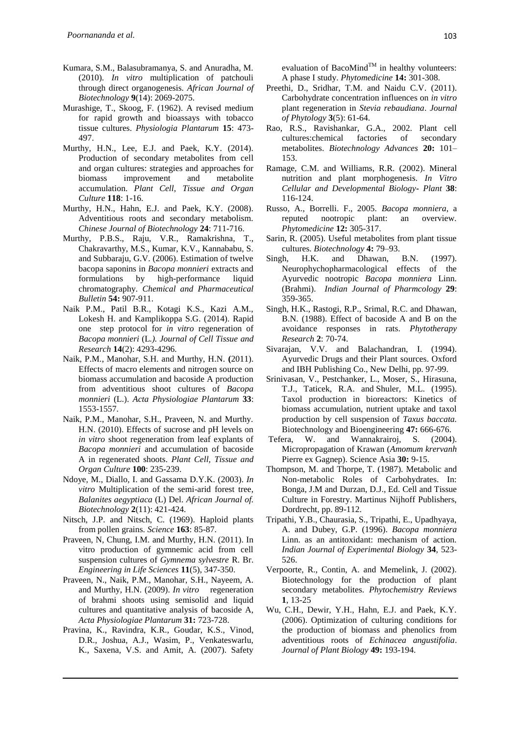- Kumara, S.M., Balasubramanya, S. and Anuradha, M. (2010). *In vitro* multiplication of patchouli through direct organogenesis. *African Journal of Biotechnology* **9**(14): 2069-2075.
- Murashige, T., Skoog, F. (1962). A revised medium for rapid growth and bioassays with tobacco tissue cultures. *Physiologia Plantarum* **15**: 473- 497.
- Murthy, H.N., Lee, E.J. and Paek, K.Y. (2014). Production of secondary metabolites from cell and organ cultures: strategies and approaches for biomass improvement and metabolite accumulation. *Plant Cell, Tissue and Organ Culture* **118**: 1-16.
- Murthy, H.N., Hahn, E.J. and Paek, K.Y. (2008). Adventitious roots and secondary metabolism. *Chinese Journal of Biotechnology* **24**: 711-716.
- Murthy, P.B.S., Raju, V.R., Ramakrishna, T., Chakravarthy, M.S., Kumar, K.V., Kannababu, S. and Subbaraju, G.V. (2006). Estimation of twelve bacopa saponins in *Bacopa monnieri* extracts and formulations by high-performance liquid chromatography. *Chemical and Pharmaceutical Bulletin* **54:** 907-911.
- Naik P.M., Patil B.R., Kotagi K.S., Kazi A.M., Lokesh H. and Kamplikoppa S.G. (2014). Rapid one step protocol for *in vitro* regeneration of *Bacopa monnieri* (L*.). Journal of Cell Tissue and Research* **14**(2): 4293-4296.
- Naik, P.M., Manohar, S.H. and Murthy, H.N. **(**2011). Effects of macro elements and nitrogen source on biomass accumulation and bacoside A production from adventitious shoot cultures of *Bacopa monnieri* (L.). *Acta Physiologiae Plantarum* **33**: 1553-1557.
- Naik, P.M., Manohar, S.H., Praveen, N. and Murthy. H.N. (2010). Effects of sucrose and pH levels on *in vitro* shoot regeneration from leaf explants of *Bacopa monnieri* and accumulation of bacoside A in regenerated shoots. *Plant Cell, Tissue and Organ Culture* **100**: 235-239.
- Ndoye, M., Diallo, I. and Gassama D.Y.K. (2003). *In vitro* Multiplication of the semi-arid forest tree, *Balanites aegyptiaca* (L) Del. *African Journal of. Biotechnology* **2**(11): 421-424.
- Nitsch, J.P. and Nitsch, C. (1969). Haploid plants from pollen grains. *Science* **163**: 85-87.
- Praveen, N, Chung, I.M. and Murthy, H.N. (2011). In vitro production of gymnemic acid from cell suspension cultures of *Gymnema sylvestre* R. Br. *Engineering in Life Sciences* **11**(5), 347-350.
- Praveen, N., Naik, P.M., Manohar, S.H., Nayeem, A. and Murthy, H.N. (2009). *In vitro* regeneration of brahmi shoots using semisolid and liquid cultures and quantitative analysis of bacoside A, *Acta Physiologiae Plantarum* **31:** 723-728.
- Pravina, K., Ravindra, K.R., Goudar, K.S., Vinod, D.R., Joshua, A.J., Wasim, P., Venkateswarlu, K., Saxena, V.S. and Amit, A. (2007). Safety

evaluation of BacoMind<sup>TM</sup> in healthy volunteers: A phase I study. *Phytomedicine* **14:** 301-308.

- Preethi, D., Sridhar, T.M. and Naidu C.V. (2011). Carbohydrate concentration influences on *in vitro*  plant regeneration in *Stevia rebaudiana*. *Journal of Phytology* **3**(5): 61-64.
- Rao, R.S., Ravishankar, G.A., 2002. Plant cell cultures:chemical factories of secondary metabolites. *Biotechnology Advances* **20:** 101– 153.
- Ramage, C.M. and Williams, R.R. (2002). Mineral nutrition and plant morphogenesis*. In Vitro Cellular and Developmental Biology***-** *Plant* **38**: 116-124.
- Russo, A., Borrelli. F., 2005. *Bacopa monniera*, a reputed nootropic plant: an overview. *Phytomedicine* **12:** 305-317.
- Sarin, R. (2005). Useful metabolites from plant tissue cultures. *Biotechnology* **4:** 79–93.
- Singh, H.K. and Dhawan, B.N. (1997). Neurophychopharmacological effects of the Ayurvedic nootropic *Bacopa monniera* Linn. (Brahmi). *Indian Journal of Pharmcology* **29**: 359-365.
- Singh, H.K., Rastogi, R.P., Srimal, R.C. and Dhawan, B.N. (1988). Effect of bacoside A and B on the avoidance responses in rats. *Phytotherapy Research* **2**: 70-74.
- Sivarajan, V.V. and Balachandran, I. (1994). Ayurvedic Drugs and their Plant sources. Oxford and IBH Publishing Co., New Delhi, pp. 97-99.
- Srinivasan, V., Pestchanker, L., Moser, S., Hirasuna, T.J., Taticek, R.A. and Shuler, M.L. (1995). Taxol production in bioreactors: Kinetics of biomass accumulation, nutrient uptake and taxol production by cell suspension of *Taxus baccata.* Biotechnology and Bioengineering **47:** 666-676.
- Tefera, W. and Wannakrairoj, S. (2004). Micropropagation of Krawan (*Amomum krervanh*  Pierre ex Gagnep). Science Asia **30:** 9-15.
- Thompson, M. and Thorpe, T. (1987). Metabolic and Non-metabolic Roles of Carbohydrates. In: Bonga, J.M and Durzan, D.J., Ed. Cell and Tissue Culture in Forestry. Martinus Nijhoff Publishers, Dordrecht, pp. 89-112.
- Tripathi, Y.B., Chaurasia, S., Tripathi, E., Upadhyaya, A. and Dubey, G.P. (1996). *Bacopa monniera*  Linn. as an antitoxidant: mechanism of action. *Indian Journal of Experimental Biology* **34**, 523- 526.
- Verpoorte, R., Contin, A. and Memelink, J. (2002). Biotechnology for the production of plant secondary metabolites. *Phytochemistry Reviews* **1**, 13-25
- Wu, C.H., Dewir, Y.H., Hahn, E.J. and Paek, K.Y. (2006). Optimization of culturing conditions for the production of biomass and phenolics from adventitious roots of *Echinacea angustifolia*. *Journal of Plant Biology* **49:** 193-194.